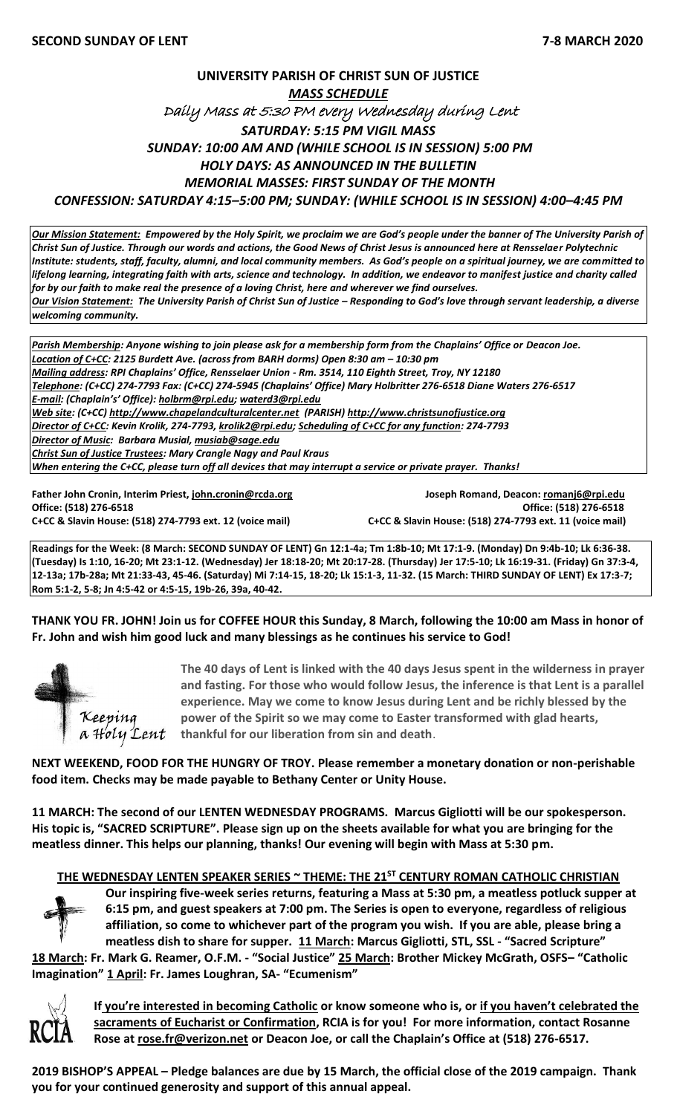## **UNIVERSITY PARISH OF CHRIST SUN OF JUSTICE** *MASS SCHEDULE*  Daily Mass at 5:30 PM every Wednesday during Lent *SATURDAY: 5:15 PM VIGIL MASS SUNDAY: 10:00 AM AND (WHILE SCHOOL IS IN SESSION) 5:00 PM HOLY DAYS: AS ANNOUNCED IN THE BULLETIN MEMORIAL MASSES: FIRST SUNDAY OF THE MONTH CONFESSION: SATURDAY 4:15–5:00 PM; SUNDAY: (WHILE SCHOOL IS IN SESSION) 4:00–4:45 PM*

*Our Mission Statement:**Empowered by the Holy Spirit, we proclaim we are God's people under the banner of The University Parish of Christ Sun of Justice. Through our words and actions, the Good News of Christ Jesus is announced here at Rensselaer Polytechnic Institute: students, staff, faculty, alumni, and local community members. As God's people on a spiritual journey, we are committed to lifelong learning, integrating faith with arts, science and technology. In addition, we endeavor to manifest justice and charity called for by our faith to make real the presence of a loving Christ, here and wherever we find ourselves. Our Vision Statement: The University Parish of Christ Sun of Justice - Responding to God's love through servant leadership, a diverse welcoming community.*

*Parish Membership: Anyone wishing to join please ask for a membership form from the Chaplains' Office or Deacon Joe. Location of C+CC: 2125 Burdett Ave. (across from BARH dorms) Open 8:30 am – 10:30 pm Mailing address: RPI Chaplains' Office, Rensselaer Union - Rm. 3514, 110 Eighth Street, Troy, NY 12180 Telephone: (C+CC) 274-7793 Fax: (C+CC) 274-5945 (Chaplains' Office) Mary Holbritter 276-6518 Diane Waters 276-6517 E-mail: (Chaplain's' Office): [holbrm@rpi.edu;](mailto:holbrm@rpi.edu) waterd3@rpi.edu Web site: (C+CC) [http://www.chapelandculturalcenter.net](http://www.chapelandculturalcenter.net/) (PARISH) http://www.christsunofjustice.org Director of C+CC: Kevin Krolik, 274-7793, krolik2@rpi.edu; Scheduling of C+CC for any function: 274-7793 Director of Music: Barbara Musial, [musiab@sage.edu](mailto:musiab@sage.edu) Christ Sun of Justice Trustees: Mary Crangle Nagy and Paul Kraus When entering the C+CC, please turn off all devices that may interrupt a service or private prayer. Thanks!* 

**Father John Cronin, Interim Priest[, john.cronin@rcda.org](mailto:john.cronin@rcda.org) Joseph Romand, Deacon[: romanj6@rpi.edu](mailto:romanj6@rpi.edu) Office: (518) 276-6518 Office: (518) 276-6518**

**C+CC & Slavin House: (518) 274-7793 ext. 12 (voice mail) C+CC & Slavin House: (518) 274-7793 ext. 11 (voice mail)**

**Readings for the Week: (8 March: SECOND SUNDAY OF LENT) Gn 12:1-4a; Tm 1:8b-10; Mt 17:1-9. (Monday) Dn 9:4b-10; Lk 6:36-38. (Tuesday) Is 1:10, 16-20; Mt 23:1-12. (Wednesday) Jer 18:18-20; Mt 20:17-28. (Thursday) Jer 17:5-10; Lk 16:19-31. (Friday) Gn 37:3-4, 12-13a; 17b-28a; Mt 21:33-43, 45-46. (Saturday) Mi 7:14-15, 18-20; Lk 15:1-3, 11-32. (15 March: THIRD SUNDAY OF LENT) Ex 17:3-7; Rom 5:1-2, 5-8; Jn 4:5-42 or 4:5-15, 19b-26, 39a, 40-42.**

### **THANK YOU FR. JOHN! Join us for COFFEE HOUR this Sunday, 8 March, following the 10:00 am Mass in honor of Fr. John and wish him good luck and many blessings as he continues his service to God!**



**The 40 days of Lent is linked with the 40 days Jesus spent in the wilderness in prayer and fasting. For those who would follow Jesus, the inference is that Lent is a parallel experience. May we come to know Jesus during Lent and be richly blessed by the power of the Spirit so we may come to Easter transformed with glad hearts,**  *Keeping* power of the Spirit so we may come to Easter to  $\boldsymbol{\mu}$  a Holy Lent thankful for our liberation from sin and death.

**NEXT WEEKEND, FOOD FOR THE HUNGRY OF TROY. Please remember a monetary donation or non-perishable food item. Checks may be made payable to Bethany Center or Unity House.**

**11 MARCH: The second of our LENTEN WEDNESDAY PROGRAMS. Marcus Gigliotti will be our spokesperson. His topic is, "SACRED SCRIPTURE". Please sign up on the sheets available for what you are bringing for the meatless dinner. This helps our planning, thanks! Our evening will begin with Mass at 5:30 pm.** 

### **THE WEDNESDAY LENTEN SPEAKER SERIES ~ THEME: THE 21ST CENTURY ROMAN CATHOLIC CHRISTIAN**



**Our inspiring five-week series returns, featuring a Mass at 5:30 pm, a meatless potluck supper at 6:15 pm, and guest speakers at 7:00 pm. The Series is open to everyone, regardless of religious affiliation, so come to whichever part of the program you wish. If you are able, please bring a meatless dish to share for supper. 11 March: Marcus Gigliotti, STL, SSL - "Sacred Scripture"** 

**18 March: Fr. Mark G. Reamer, O.F.M. - "Social Justice" 25 March: Brother Mickey McGrath, OSFS– "Catholic Imagination" 1 April: Fr. James Loughran, SA- "Ecumenism"**



**If you're interested in becoming Catholic or know someone who is, or if you haven't celebrated the sacraments of Eucharist or Confirmation, RCIA is for you! For more information, contact Rosanne Rose at [rose.fr@verizon.net](mailto:rose.fr@verizon.net) or Deacon Joe, or call the Chaplain's Office at (518) 276-6517.**

**2019 BISHOP'S APPEAL – Pledge balances are due by 15 March, the official close of the 2019 campaign. Thank you for your continued generosity and support of this annual appeal.**